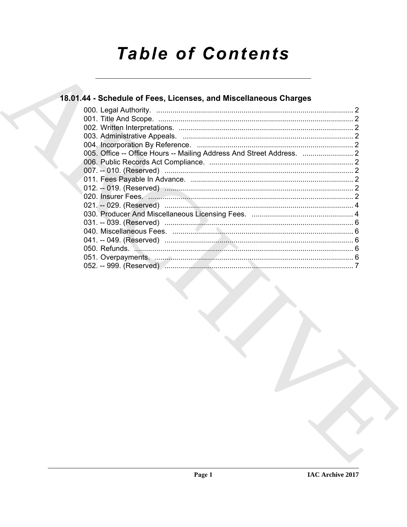# **Table of Contents**

## 18.01.44 - Schedule of Fees, Licenses, and Miscellaneous Charges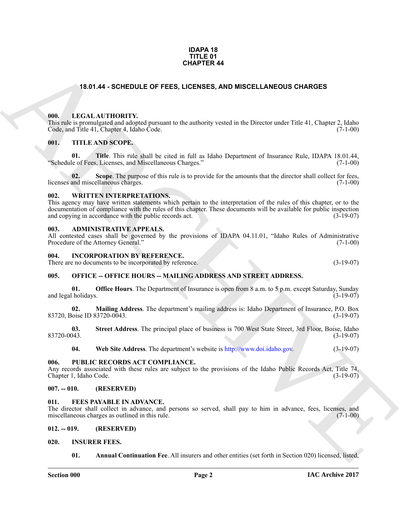#### **IDAPA 18 TITLE 01 CHAPTER 44**

#### **18.01.44 - SCHEDULE OF FEES, LICENSES, AND MISCELLANEOUS CHARGES**

#### <span id="page-1-1"></span><span id="page-1-0"></span>**000. LEGAL AUTHORITY.**

This rule is promulgated and adopted pursuant to the authority vested in the Director under Title 41, Chapter 2, Idaho Code, and Title 41, Chapter 4, Idaho Code. (7-1-00)

#### <span id="page-1-2"></span>**001. TITLE AND SCOPE.**

**01.** Title. This rule shall be cited in full as Idaho Department of Insurance Rule, IDAPA 18.01.44, le of Fees. Licenses. and Miscellaneous Charges." (7-1-00) "Schedule of Fees, Licenses, and Miscellaneous Charges."

**02.** Scope. The purpose of this rule is to provide for the amounts that the director shall collect for fees, and miscellaneous charges. (7-1-00) licenses and miscellaneous charges.

#### <span id="page-1-3"></span>**002. WRITTEN INTERPRETATIONS.**

**CHAPTER 44**<br> **CHAPTER 44**<br> **CHAPTER 44**<br> **CHAPTER 44**<br> **CHAPTER 44**<br> **CHAPTER 44**<br> **CHAPTER 44**<br> **CHAPTER 44**<br> **CHAPTER 44**<br> **CHAPTER 44**<br> **CHAPTER 44**<br> **CHAPTER 44**<br> **CHAPTER 44**<br> **CHAPTER 44**<br> **CHAPTER 44**<br> **CHAPTER 44** This agency may have written statements which pertain to the interpretation of the rules of this chapter, or to the documentation of compliance with the rules of this chapter. These documents will be available for public inspection and copying in accordance with the public records act. and copying in accordance with the public records act.

#### <span id="page-1-4"></span>**003. ADMINISTRATIVE APPEALS.**

All contested cases shall be governed by the provisions of IDAPA 04.11.01, "Idaho Rules of Administrative Procedure of the Attorney General." (7-1-00) Procedure of the Attorney General."

#### <span id="page-1-5"></span>**004. INCORPORATION BY REFERENCE.**

There are no documents to be incorporated by reference. (3-19-07)

#### <span id="page-1-6"></span>**005. OFFICE -- OFFICE HOURS -- MAILING ADDRESS AND STREET ADDRESS.**

**01. Office Hours**. The Department of Insurance is open from 8 a.m. to 5 p.m. except Saturday, Sunday l holidays. (3-19-07) and legal holidays.

**02. Mailing Address**. The department's mailing address is: Idaho Department of Insurance, P.O. Box 83720, Boise ID 83720-0043. (3-19-07)

**03.** Street Address. The principal place of business is 700 West State Street, 3rd Floor, Boise, Idaho (3-19-07) 83720-0043. (3-19-07)

**04. Web Site Address**. The department's website is http://www.doi.idaho.gov. (3-19-07)

#### <span id="page-1-7"></span>**006. PUBLIC RECORDS ACT COMPLIANCE.**

Any records associated with these rules are subject to the provisions of the Idaho Public Records Act, Title 74, Chapter 1, Idaho Code. (3-19-07)

#### <span id="page-1-8"></span>**007. -- 010. (RESERVED)**

#### <span id="page-1-12"></span><span id="page-1-9"></span>**011. FEES PAYABLE IN ADVANCE.**

The director shall collect in advance, and persons so served, shall pay to him in advance, fees, licenses, and miscellaneous charges as outlined in this rule. (7-1-00)

#### <span id="page-1-10"></span>**012. -- 019. (RESERVED)**

#### <span id="page-1-11"></span>**020. INSURER FEES.**

<span id="page-1-14"></span><span id="page-1-13"></span>**01. Annual Continuation Fee**. All insurers and other entities (set forth in Section 020) licensed, listed,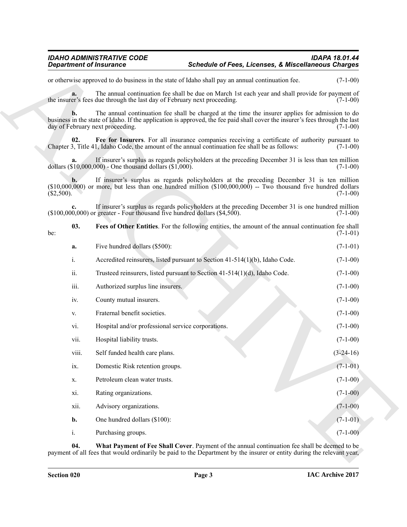<span id="page-2-2"></span><span id="page-2-1"></span><span id="page-2-0"></span>

| <b>Department of Insurance</b> |                                                                                 | <b>Schedule of Fees, Licenses, &amp; Miscellaneous Charges</b>                                                                                                                                                                   |             |
|--------------------------------|---------------------------------------------------------------------------------|----------------------------------------------------------------------------------------------------------------------------------------------------------------------------------------------------------------------------------|-------------|
|                                |                                                                                 | or otherwise approved to do business in the state of Idaho shall pay an annual continuation fee.                                                                                                                                 | $(7-1-00)$  |
| a.                             | the insurer's fees due through the last day of February next proceeding.        | The annual continuation fee shall be due on March 1st each year and shall provide for payment of                                                                                                                                 | $(7-1-00)$  |
|                                | day of February next proceeding.                                                | The annual continuation fee shall be charged at the time the insurer applies for admission to do<br>business in the state of Idaho. If the application is approved, the fee paid shall cover the insurer's fees through the last | $(7-1-00)$  |
| 02.                            |                                                                                 | Fee for Insurers. For all insurance companies receiving a certificate of authority pursuant to<br>Chapter 3, Title 41, Idaho Code, the amount of the annual continuation fee shall be as follows:                                | $(7-1-00)$  |
| a.                             | dollars $(\$10,000,000)$ - One thousand dollars $(\$1,000)$ .                   | If insurer's surplus as regards policyholders at the preceding December 31 is less than ten million                                                                                                                              | $(7-1-00)$  |
| b.<br>(\$2,500).               |                                                                                 | If insurer's surplus as regards policyholders at the preceding December 31 is ten million<br>$(\$10,000,000)$ or more, but less than one hundred million $(\$100,000,000)$ -- Two thousand five hundred dollars                  | $(7-1-00)$  |
| $c_{\cdot}$                    | $(\$100,000,000)$ or greater - Four thousand five hundred dollars $(\$4,500)$ . | If insurer's surplus as regards policyholders at the preceding December 31 is one hundred million                                                                                                                                | $(7-1-00)$  |
| 03.<br>be:                     |                                                                                 | Fees of Other Entities. For the following entities, the amount of the annual continuation fee shall                                                                                                                              | $(7-1-01)$  |
| a.                             | Five hundred dollars (\$500):                                                   |                                                                                                                                                                                                                                  | $(7-1-01)$  |
| i.                             |                                                                                 | Accredited reinsurers, listed pursuant to Section 41-514(1)(b), Idaho Code.                                                                                                                                                      | $(7-1-00)$  |
| ii.                            |                                                                                 | Trusteed reinsurers, listed pursuant to Section 41-514(1)(d), Idaho Code.                                                                                                                                                        | $(7-1-00)$  |
| iii.                           | Authorized surplus line insurers.                                               |                                                                                                                                                                                                                                  | $(7-1-00)$  |
| iv.                            | County mutual insurers.                                                         |                                                                                                                                                                                                                                  | $(7-1-00)$  |
| V.                             | Fraternal benefit societies.                                                    |                                                                                                                                                                                                                                  | $(7-1-00)$  |
| vi.                            | Hospital and/or professional service corporations.                              |                                                                                                                                                                                                                                  | $(7-1-00)$  |
| vii.                           | Hospital liability trusts.                                                      |                                                                                                                                                                                                                                  | $(7-1-00)$  |
| viii.                          | Self funded health care plans.                                                  |                                                                                                                                                                                                                                  | $(3-24-16)$ |
| ix.                            | Domestic Risk retention groups.                                                 |                                                                                                                                                                                                                                  | $(7-1-01)$  |
| X.                             | Petroleum clean water trusts.                                                   |                                                                                                                                                                                                                                  | $(7-1-00)$  |
| xi.                            | Rating organizations.                                                           |                                                                                                                                                                                                                                  | $(7-1-00)$  |
| xii.                           | Advisory organizations.                                                         |                                                                                                                                                                                                                                  | $(7-1-00)$  |
| b.                             | One hundred dollars (\$100):                                                    |                                                                                                                                                                                                                                  | $(7-1-01)$  |
|                                | Purchasing groups.                                                              |                                                                                                                                                                                                                                  | $(7-1-00)$  |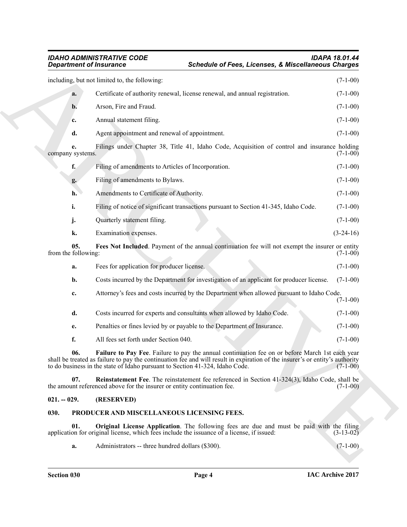|                            | including, but not limited to, the following:                                                                                                                                                                                                                                                                   | $(7-1-00)$  |
|----------------------------|-----------------------------------------------------------------------------------------------------------------------------------------------------------------------------------------------------------------------------------------------------------------------------------------------------------------|-------------|
| a.                         | Certificate of authority renewal, license renewal, and annual registration.                                                                                                                                                                                                                                     | $(7-1-00)$  |
| b.                         | Arson, Fire and Fraud.                                                                                                                                                                                                                                                                                          | $(7-1-00)$  |
| c.                         | Annual statement filing.                                                                                                                                                                                                                                                                                        | $(7-1-00)$  |
| d.                         | Agent appointment and renewal of appointment.                                                                                                                                                                                                                                                                   | $(7-1-00)$  |
| e.<br>company systems.     | Filings under Chapter 38, Title 41, Idaho Code, Acquisition of control and insurance holding                                                                                                                                                                                                                    | $(7-1-00)$  |
| f.                         | Filing of amendments to Articles of Incorporation.                                                                                                                                                                                                                                                              | $(7-1-00)$  |
| g.                         | Filing of amendments to Bylaws.                                                                                                                                                                                                                                                                                 | $(7-1-00)$  |
| h.                         | Amendments to Certificate of Authority.                                                                                                                                                                                                                                                                         | $(7-1-00)$  |
| i.                         | Filing of notice of significant transactions pursuant to Section 41-345, Idaho Code.                                                                                                                                                                                                                            | $(7-1-00)$  |
| j.                         | Quarterly statement filing.                                                                                                                                                                                                                                                                                     | $(7-1-00)$  |
| k.                         | Examination expenses.                                                                                                                                                                                                                                                                                           | $(3-24-16)$ |
| 05.<br>from the following: | Fees Not Included. Payment of the annual continuation fee will not exempt the insurer or entity                                                                                                                                                                                                                 | $(7-1-00)$  |
| a.                         | Fees for application for producer license.                                                                                                                                                                                                                                                                      | $(7-1-00)$  |
| b.                         | Costs incurred by the Department for investigation of an applicant for producer license.                                                                                                                                                                                                                        | $(7-1-00)$  |
| c.                         | Attorney's fees and costs incurred by the Department when allowed pursuant to Idaho Code.                                                                                                                                                                                                                       | $(7-1-00)$  |
| d.                         | Costs incurred for experts and consultants when allowed by Idaho Code.                                                                                                                                                                                                                                          | $(7-1-00)$  |
| e.                         | Penalties or fines levied by or payable to the Department of Insurance.                                                                                                                                                                                                                                         | $(7-1-00)$  |
| f.                         | All fees set forth under Section 040.                                                                                                                                                                                                                                                                           | $(7-1-00)$  |
| 06.                        | Failure to Pay Fee. Failure to pay the annual continuation fee on or before March 1st each year<br>shall be treated as failure to pay the continuation fee and will result in expiration of the insurer's or entity's authority<br>to do business in the state of Idaho pursuant to Section 41-324, Idaho Code. | $(7-1-00)$  |
| 07.                        | Reinstatement Fee. The reinstatement fee referenced in Section 41-324(3), Idaho Code, shall be<br>the amount referenced above for the insurer or entity continuation fee.                                                                                                                                       | $(7-1-00)$  |
| $021. - 029.$              | (RESERVED)                                                                                                                                                                                                                                                                                                      |             |
| 030.                       | PRODUCER AND MISCELLANEOUS LICENSING FEES.                                                                                                                                                                                                                                                                      |             |
| 01.                        | Original License Application. The following fees are due and must be paid with the filing<br>application for original license, which fees include the issuance of a license, if issued:                                                                                                                         | $(3-13-02)$ |
| a.                         | Administrators -- three hundred dollars (\$300).                                                                                                                                                                                                                                                                | $(7-1-00)$  |

#### <span id="page-3-4"></span><span id="page-3-3"></span><span id="page-3-2"></span><span id="page-3-0"></span>**021. -- 029. (RESERVED)**

#### <span id="page-3-6"></span><span id="page-3-5"></span><span id="page-3-1"></span>**030. PRODUCER AND MISCELLANEOUS LICENSING FEES.**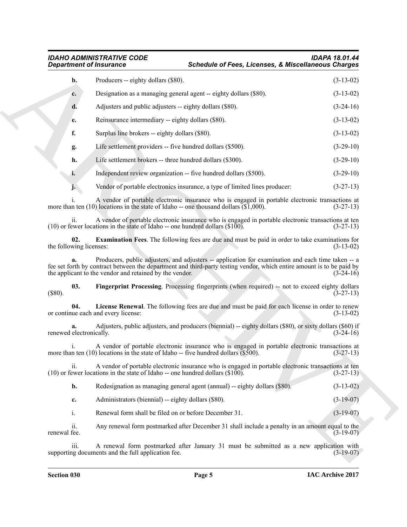## <span id="page-4-2"></span><span id="page-4-1"></span><span id="page-4-0"></span>*IDAHO ADMINISTRATIVE CODE IDAPA 18.01.44* **Schedule of Fees, Licenses, & Miscellaneous Charges**

|                                | <b>Department of Insurance</b>                                                           | <b>Schedule of Fees, Licenses, &amp; Miscellaneous Charges</b>                                                                                                                                                              |             |
|--------------------------------|------------------------------------------------------------------------------------------|-----------------------------------------------------------------------------------------------------------------------------------------------------------------------------------------------------------------------------|-------------|
| b.                             | Producers -- eighty dollars (\$80).                                                      |                                                                                                                                                                                                                             | $(3-13-02)$ |
| c.                             |                                                                                          | Designation as a managing general agent -- eighty dollars (\$80).                                                                                                                                                           | $(3-13-02)$ |
| d.                             | Adjusters and public adjusters -- eighty dollars (\$80).                                 |                                                                                                                                                                                                                             | $(3-24-16)$ |
| e.                             | Reinsurance intermediary -- eighty dollars (\$80).                                       |                                                                                                                                                                                                                             | $(3-13-02)$ |
| f.                             | Surplus line brokers -- eighty dollars (\$80).                                           |                                                                                                                                                                                                                             | $(3-13-02)$ |
| g.                             | Life settlement providers -- five hundred dollars (\$500).                               |                                                                                                                                                                                                                             | $(3-29-10)$ |
| h.                             | Life settlement brokers -- three hundred dollars (\$300).                                |                                                                                                                                                                                                                             | $(3-29-10)$ |
| i.                             |                                                                                          | Independent review organization -- five hundred dollars (\$500).                                                                                                                                                            | $(3-29-10)$ |
|                                |                                                                                          | Vendor of portable electronics insurance, a type of limited lines producer:                                                                                                                                                 | $(3-27-13)$ |
|                                |                                                                                          | A vendor of portable electronic insurance who is engaged in portable electronic transactions at<br>more than ten (10) locations in the state of Idaho -- one thousand dollars $(\overline{1}, 000)$ .                       | $(3-27-13)$ |
| 11.                            | $(10)$ or fewer locations in the state of Idaho -- one hundred dollars $(\$100)$ .       | A vendor of portable electronic insurance who is engaged in portable electronic transactions at ten                                                                                                                         | $(3-27-13)$ |
| 02.<br>the following licenses: |                                                                                          | <b>Examination Fees.</b> The following fees are due and must be paid in order to take examinations for                                                                                                                      | $(3-13-02)$ |
| a.                             | the applicant to the vendor and retained by the vendor.                                  | Producers, public adjusters, and adjusters -- application for examination and each time taken -- a<br>fee set forth by contract between the department and third-party testing vendor, which entire amount is to be paid by | $(3-24-16)$ |
| 03.<br>$(\$80).$               |                                                                                          | Fingerprint Processing. Processing fingerprints (when required) -- not to exceed eighty dollars                                                                                                                             | $(3-27-13)$ |
| 04.                            | or continue each and every license:                                                      | License Renewal. The following fees are due and must be paid for each license in order to renew                                                                                                                             | $(3-13-02)$ |
| a.<br>renewed electronically.  |                                                                                          | Adjusters, public adjusters, and producers (biennial) -- eighty dollars (\$80), or sixty dollars (\$60) if                                                                                                                  | $(3-24-16)$ |
|                                | more than ten $(10)$ locations in the state of Idaho -- five hundred dollars $(\$500)$ . | A vendor of portable electronic insurance who is engaged in portable electronic transactions at                                                                                                                             | $(3-27-13)$ |
| ii.                            | $(10)$ or fewer locations in the state of Idaho -- one hundred dollars $(\$100)$ .       | A vendor of portable electronic insurance who is engaged in portable electronic transactions at ten                                                                                                                         | $(3-27-13)$ |
| b.                             |                                                                                          | Redesignation as managing general agent (annual) -- eighty dollars (\$80).                                                                                                                                                  | $(3-13-02)$ |
| c.                             | Administrators (biennial) -- eighty dollars (\$80).                                      |                                                                                                                                                                                                                             | $(3-19-07)$ |
| $\mathbf{i}$ .                 | Renewal form shall be filed on or before December 31.                                    |                                                                                                                                                                                                                             | $(3-19-07)$ |
| ii.<br>renewal fee.            |                                                                                          | Any renewal form postmarked after December 31 shall include a penalty in an amount equal to the                                                                                                                             | $(3-19-07)$ |
| iii.                           | supporting documents and the full application fee.                                       | A renewal form postmarked after January 31 must be submitted as a new application with                                                                                                                                      | $(3-19-07)$ |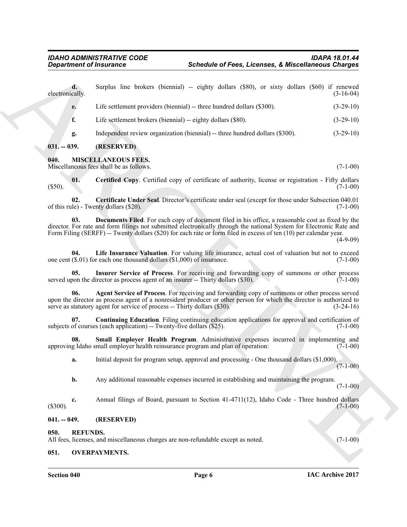<span id="page-5-10"></span><span id="page-5-8"></span><span id="page-5-7"></span><span id="page-5-5"></span><span id="page-5-1"></span><span id="page-5-0"></span>

| <b>Department of Insurance</b> |                                                                              | <b>Schedule of Fees, Licenses, &amp; Miscellaneous Charges</b>                                                                                                                                                                                                                                                                                 |             |
|--------------------------------|------------------------------------------------------------------------------|------------------------------------------------------------------------------------------------------------------------------------------------------------------------------------------------------------------------------------------------------------------------------------------------------------------------------------------------|-------------|
| electronically.                | d.                                                                           | Surplus line brokers (biennial) -- eighty dollars (\$80), or sixty dollars (\$60) if renewed                                                                                                                                                                                                                                                   | $(3-16-04)$ |
| e.                             |                                                                              | Life settlement providers (biennial) -- three hundred dollars (\$300).                                                                                                                                                                                                                                                                         | $(3-29-10)$ |
| f.                             |                                                                              | Life settlement brokers (biennial) -- eighty dollars (\$80).                                                                                                                                                                                                                                                                                   | $(3-29-10)$ |
| g.                             |                                                                              | Independent review organization (biennial) -- three hundred dollars (\$300).                                                                                                                                                                                                                                                                   | $(3-29-10)$ |
| $031. - 039.$                  | (RESERVED)                                                                   |                                                                                                                                                                                                                                                                                                                                                |             |
| 040.                           | <b>MISCELLANEOUS FEES.</b><br>Miscellaneous fees shall be as follows.        |                                                                                                                                                                                                                                                                                                                                                | $(7-1-00)$  |
| 01.<br>$(\$50).$               |                                                                              | <b>Certified Copy.</b> Certified copy of certificate of authority, license or registration - Fifty dollars                                                                                                                                                                                                                                     | $(7-1-00)$  |
| 02.                            | of this rule) - Twenty dollars (\$20).                                       | Certificate Under Seal. Director's certificate under seal (except for those under Subsection 040.01                                                                                                                                                                                                                                            | $(7-1-00)$  |
| 03.                            |                                                                              | Documents Filed. For each copy of document filed in his office, a reasonable cost as fixed by the<br>director. For rate and form filings not submitted electronically through the national System for Electronic Rate and<br>Form Filing (SERFF) -- Twenty dollars (\$20) for each rate or form filed in excess of ten (10) per calendar year. | $(4-9-09)$  |
| 04.                            | one cent $(\$.01)$ for each one thousand dollars $(\$1,000)$ of insurance.   | Life Insurance Valuation. For valuing life insurance, actual cost of valuation but not to exceed                                                                                                                                                                                                                                               | $(7-1-00)$  |
|                                | 05.                                                                          | Insurer Service of Process. For receiving and forwarding copy of summons or other process<br>served upon the director as process agent of an insurer -- Thirty dollars (\$30).                                                                                                                                                                 | $(7-1-00)$  |
| 06.                            | serve as statutory agent for service of process -- Thirty dollars (\$30).    | Agent Service of Process. For receiving and forwarding copy of summons or other process served<br>upon the director as process agent of a nonresident producer or other person for which the director is authorized to                                                                                                                         | $(3-24-16)$ |
|                                | 07.<br>subjects of courses (each application) -- Twenty-five dollars (\$25). | <b>Continuing Education.</b> Filing continuing education applications for approval and certification of                                                                                                                                                                                                                                        | $(7-1-00)$  |
| 08.                            |                                                                              | Small Employer Health Program. Administrative expenses incurred in implementing and<br>approving Idaho small employer health reinsurance program and plan of operation:                                                                                                                                                                        | $(7-1-00)$  |
| a.                             |                                                                              | Initial deposit for program setup, approval and processing - One thousand dollars (\$1,000).                                                                                                                                                                                                                                                   | $(7-1-00)$  |
| b.                             |                                                                              | Any additional reasonable expenses incurred in establishing and maintaining the program.                                                                                                                                                                                                                                                       | $(7-1-00)$  |
| c.<br>(\$300).                 |                                                                              | Annual filings of Board, pursuant to Section 41-4711(12), Idaho Code - Three hundred dollars                                                                                                                                                                                                                                                   | $(7-1-00)$  |
| $041. - 049.$                  | (RESERVED)                                                                   |                                                                                                                                                                                                                                                                                                                                                |             |
| 050.                           | <b>REFUNDS.</b>                                                              | All fees, licenses, and miscellaneous charges are non-refundable except as noted.                                                                                                                                                                                                                                                              | $(7-1-00)$  |
| 051.                           | <b>OVERPAYMENTS.</b>                                                         |                                                                                                                                                                                                                                                                                                                                                |             |

#### <span id="page-5-13"></span><span id="page-5-12"></span><span id="page-5-11"></span><span id="page-5-9"></span><span id="page-5-6"></span><span id="page-5-2"></span>**041. -- 049. (RESERVED)**

#### <span id="page-5-3"></span>**050. REFUNDS.**

#### <span id="page-5-4"></span>**051. OVERPAYMENTS.**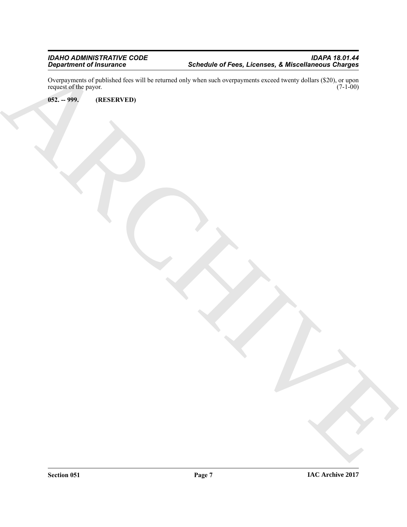Department of Insurance<br>
School of Figure 1, Developed Expansion of the Contentration of the Contentration of the Contentration of the Contentration of the Contentration of the Contentration of the Contentration of the Con Overpayments of published fees will be returned only when such overpayments exceed twenty dollars (\$20), or upon request of the payor.  $(7-1-00)$ 

<span id="page-6-0"></span>**052. -- 999. (RESERVED)**